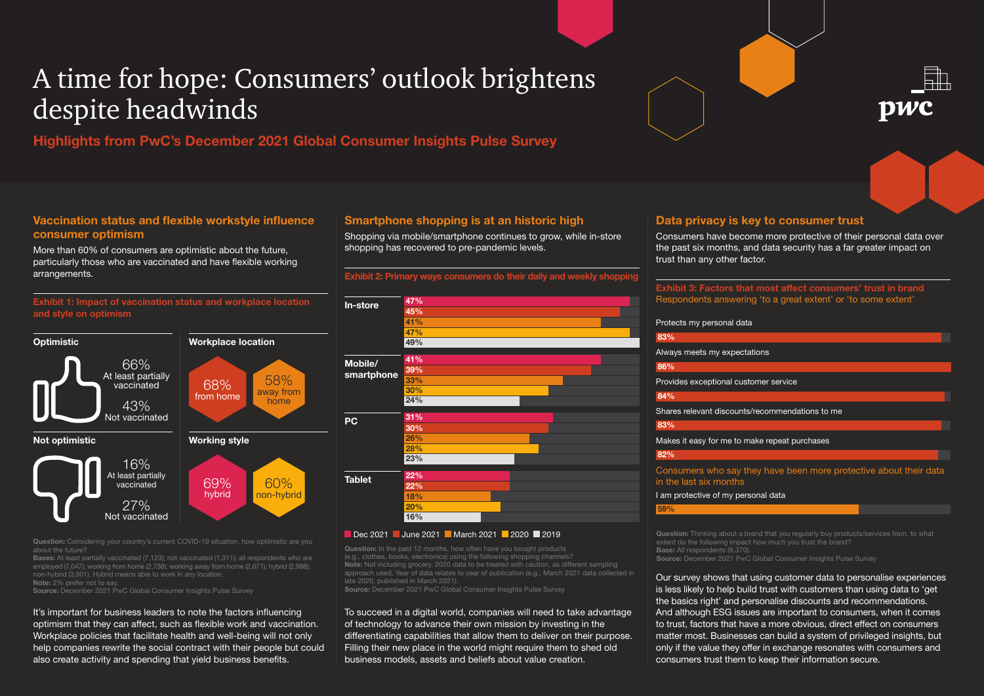# A time for hope: Consumers' outlook brightens despite headwinds

**Highlights from PwC's December 2021 Global Consumer Insights Pulse Survey**

# **Vaccination status and flexible workstyle influence consumer optimism**

More than 60% of consumers are optimistic about the future, particularly those who are vaccinated and have flexible working arrangements.

**Exhibit 1: Impact of vaccination status and workplace location and style on optimism**



about the future?

**Bases:** At least partially vaccinated (7,123); not vaccinated (1,311); all respondents who are non-hybrid (3,901). Hybrid means able to work in any location.

**Note:** 2% prefer not to say.

**Source:** December 2021 PwC Global Consumer Insights Pulse Survey

It's important for business leaders to note the factors influencing optimism that they can affect, such as flexible work and vaccination. Workplace policies that facilitate health and well-being will not only help companies rewrite the social contract with their people but could also create activity and spending that yield business benefits.

# **Smartphone shopping is at an historic high**

Shopping via mobile/smartphone continues to grow, while in-store shopping has recovered to pre-pandemic levels.

**Exhibit 2: Primary ways consumers do their daily and weekly shopp** 



### Dec 2021 June 2021 March 2021 2020 2019

(e.g., clothes, books, electronics) using the following shopping channels? **Note:** Not including grocery. 2020 data to be treated with caution, as different sampling approach used. Year of data relates to year of publication (e.g., March 2021 data collected in late 2020, published in March 2021). **Source:** December 2021 PwC Global Consumer Insights Pulse Survey

To succeed in a digital world, companies will need to take advantage of technology to advance their own mission by investing in the differentiating capabilities that allow them to deliver on their purpose. Filling their new place in the world might require them to shed old business models, assets and beliefs about value creation.

# **Data privacy is key to consumer trust**

Consumers have become more protective of their personal data over the past six months, and data security has a far greater impact on trust than any other factor.

### **Exhibit 3: Factors that most affect consumers' trust in brand** Respondents answering 'to a great extent' or 'to some extent'

|  | Protects my personal data |  |
|--|---------------------------|--|
|  |                           |  |

**83%** Consumers who say they have been more protective about their data in the last six months I am protective of my personal data **59%** Always meets my expectations **86%** Provides exceptional customer service **84%** Shares relevant discounts/recommendations to me **83%** Makes it easy for me to make repeat purchases **82%**

**Question:** Thinking about a brand that you regularly buy products/services from, to what extent do the following impact how much you trust the brand? **Base:** All respondents (9,370). **Source:** December 2021 PwC Global Consumer Insights Pulse Survey

Our survey shows that using customer data to personalise experiences is less likely to help build trust with customers than using data to 'get the basics right' and personalise discounts and recommendations. And although ESG issues are important to consumers, when it comes to trust, factors that have a more obvious, direct effect on consumers matter most. Businesses can build a system of privileged insights, but only if the value they offer in exchange resonates with consumers and consumers trust them to keep their information secure.